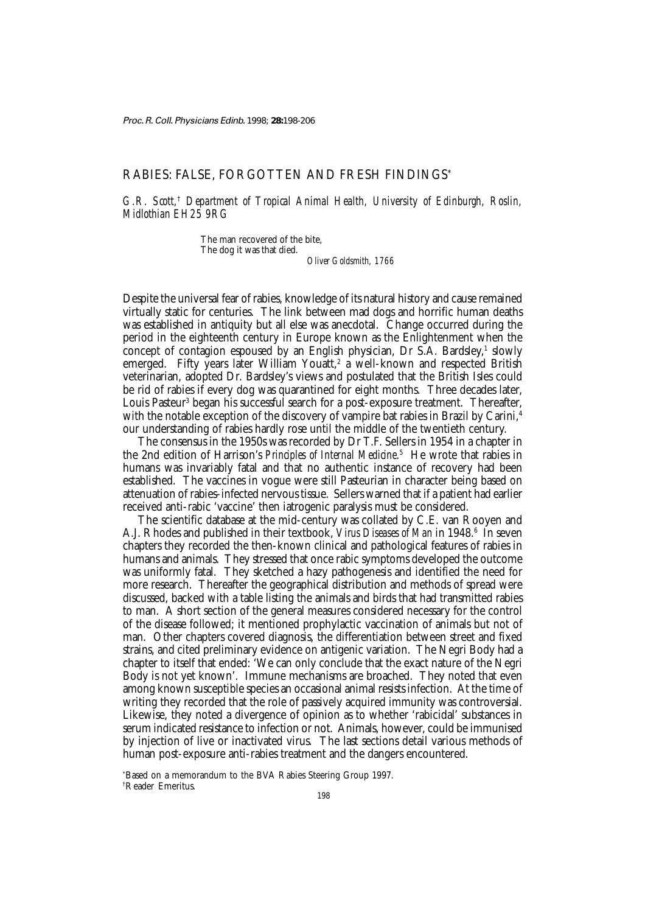# RABIES: FALSE, FORGOTTEN AND FRESH FINDINGS\*

*G.R. Scott,*†  *Department of Tropical Animal Health, University of Edinburgh, Roslin, Midlothian EH25 9RG*

> The man recovered of the bite, The dog it was that died. *Oliver Goldsmith, 1766*

Despite the universal fear of rabies, knowledge of its natural history and cause remained virtually static for centuries. The link between mad dogs and horrific human deaths was established in antiquity but all else was anecdotal. Change occurred during the period in the eighteenth century in Europe known as the Enlightenment when the concept of contagion espoused by an English physician, Dr S.A. Bardsley,<sup>1</sup> slowly emerged. Fifty years later William Youatt,<sup>2</sup> a well-known and respected British veterinarian, adopted Dr. Bardsley's views and postulated that the British Isles could be rid of rabies if every dog was quarantined for eight months. Three decades later, Louis Pasteur<sup>3</sup> began his successful search for a post-exposure treatment. Thereafter, with the notable exception of the discovery of vampire bat rabies in Brazil by Carini,<sup>4</sup> our understanding of rabies hardly rose until the middle of the twentieth century.

The consensus in the 1950s was recorded by Dr T.F. Sellers in 1954 in a chapter in the 2nd edition of Harrison's *Principles of Internal Medicine*. 5 He wrote that rabies in humans was invariably fatal and that no authentic instance of recovery had been established. The vaccines in vogue were still Pasteurian in character being based on attenuation of rabies-infected nervous tissue. Sellers warned that if a patient had earlier received anti-rabic 'vaccine' then iatrogenic paralysis must be considered.

The scientific database at the mid-century was collated by C.E. van Rooyen and A.J. Rhodes and published in their textbook, *Virus Diseases of Man* in 1948.<sup>6</sup> In seven chapters they recorded the then-known clinical and pathological features of rabies in humans and animals. They stressed that once rabic symptoms developed the outcome was uniformly fatal. They sketched a hazy pathogenesis and identified the need for more research. Thereafter the geographical distribution and methods of spread were discussed, backed with a table listing the animals and birds that had transmitted rabies to man. A short section of the general measures considered necessary for the control of the disease followed; it mentioned prophylactic vaccination of animals but not of man. Other chapters covered diagnosis, the differentiation between street and fixed strains, and cited preliminary evidence on antigenic variation. The Negri Body had a chapter to itself that ended: 'We can only conclude that the exact nature of the Negri Body is not yet known'. Immune mechanisms are broached. They noted that even among known susceptible species an occasional animal resists infection. At the time of writing they recorded that the role of passively acquired immunity was controversial. Likewise, they noted a divergence of opinion as to whether 'rabicidal' substances in serum indicated resistance to infection or not. Animals, however, could be immunised by injection of live or inactivated virus. The last sections detail various methods of human post-exposure anti-rabies treatment and the dangers encountered.

\* Based on a memorandum to the BVA Rabies Steering Group 1997. † Reader Emeritus.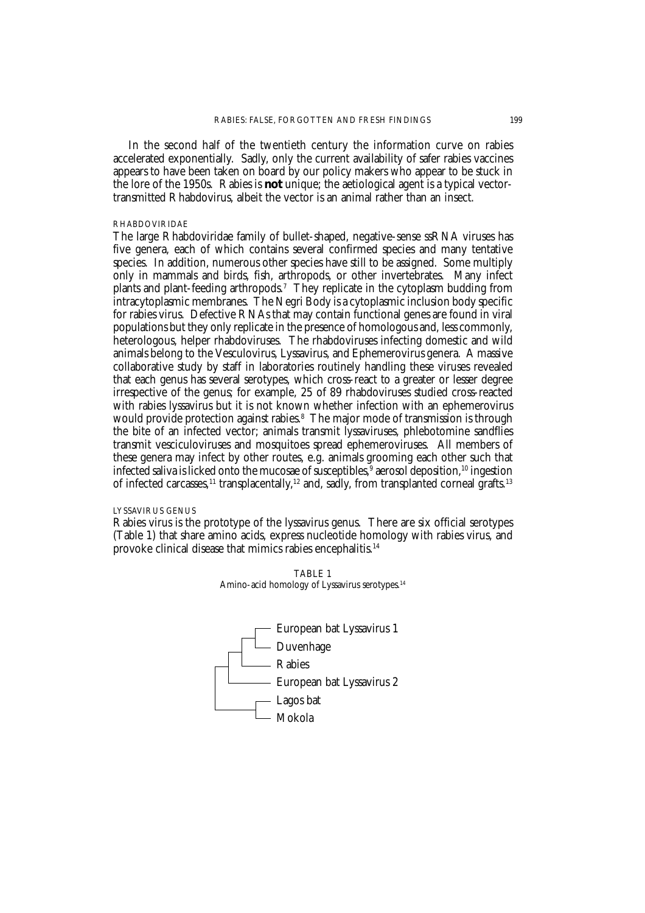In the second half of the twentieth century the information curve on rabies accelerated exponentially. Sadly, only the current availability of safer rabies vaccines appears to have been taken on board by our policy makers who appear to be stuck in the lore of the 1950s. Rabies is **not** unique; the aetiological agent is a typical vectortransmitted Rhabdovirus, albeit the vector is an animal rather than an insect.

## RHABDOVIRIDAE

The large Rhabdoviridae family of bullet-shaped, negative-sense ssRNA viruses has five genera, each of which contains several confirmed species and many tentative species. In addition, numerous other species have still to be assigned. Some multiply only in mammals and birds, fish, arthropods, or other invertebrates. Many infect plants and plant-feeding arthropods.7 They replicate in the cytoplasm budding from intracytoplasmic membranes. The Negri Body is a cytoplasmic inclusion body specific for rabies virus. Defective RNAs that may contain functional genes are found in viral populations but they only replicate in the presence of homologous and, less commonly, heterologous, helper rhabdoviruses. The rhabdoviruses infecting domestic and wild animals belong to the Vesculovirus, Lyssavirus, and Ephemerovirus genera. A massive collaborative study by staff in laboratories routinely handling these viruses revealed that each genus has several serotypes, which cross-react to a greater or lesser degree irrespective of the genus; for example, 25 of 89 rhabdoviruses studied cross-reacted with rabies lyssavirus but it is not known whether infection with an ephemerovirus would provide protection against rabies.8 The major mode of transmission is through the bite of an infected vector; animals transmit lyssaviruses, phlebotomine sandflies transmit vesciculoviruses and mosquitoes spread ephemeroviruses. All members of these genera may infect by other routes, e.g. animals grooming each other such that infected saliva is licked onto the mucosae of susceptibles,<sup>9</sup> aerosol deposition, <sup>10</sup> ingestion of infected carcasses,<sup>11</sup> transplacentally,<sup>12</sup> and, sadly, from transplanted corneal grafts.<sup>13</sup>

## LYSSAVIRUS GENUS

Rabies virus is the prototype of the lyssavirus genus. There are six official serotypes (Table 1) that share amino acids, express nucleotide homology with rabies virus, and provoke clinical disease that mimics rabies encephalitis.14



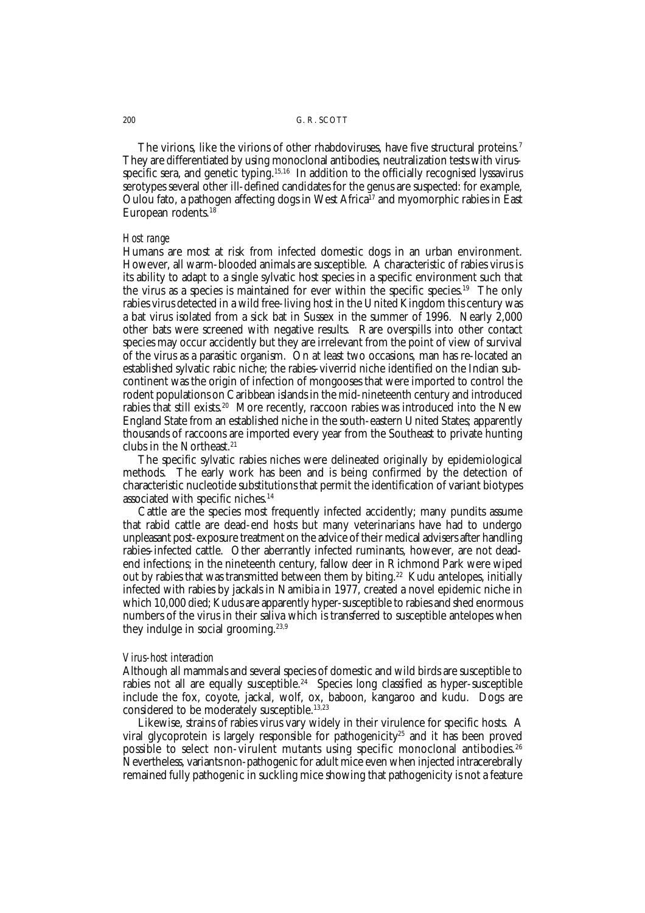The virions, like the virions of other rhabdoviruses, have five structural proteins.<sup>7</sup> They are differentiated by using monoclonal antibodies, neutralization tests with virusspecific sera, and genetic typing.<sup>15,16</sup> In addition to the officially recognised lyssavirus serotypes several other ill-defined candidates for the genus are suspected: for example, Oulou fato, a pathogen affecting dogs in West Africa<sup>17</sup> and myomorphic rabies in East European rodents.18

#### *Host range*

Humans are most at risk from infected domestic dogs in an urban environment. However, all warm-blooded animals are susceptible. A characteristic of rabies virus is its ability to adapt to a single sylvatic host species in a specific environment such that the virus as a species is maintained for ever within the specific species.19 The only rabies virus detected in a wild free-living host in the United Kingdom this century was a bat virus isolated from a sick bat in Sussex in the summer of 1996. Nearly 2,000 other bats were screened with negative results. Rare overspills into other contact species may occur accidently but they are irrelevant from the point of view of survival of the virus as a parasitic organism. On at least two occasions, man has re-located an established sylvatic rabic niche; the rabies-viverrid niche identified on the Indian subcontinent was the origin of infection of mongooses that were imported to control the rodent populations on Caribbean islands in the mid-nineteenth century and introduced rabies that still exists.<sup>20</sup> More recently, raccoon rabies was introduced into the New England State from an established niche in the south-eastern United States; apparently thousands of raccoons are imported every year from the Southeast to private hunting clubs in the Northeast.21

The specific sylvatic rabies niches were delineated originally by epidemiological methods. The early work has been and is being confirmed by the detection of characteristic nucleotide substitutions that permit the identification of variant biotypes associated with specific niches.14

Cattle are the species most frequently infected accidently; many pundits assume that rabid cattle are dead-end hosts but many veterinarians have had to undergo unpleasant post-exposure treatment on the advice of their medical advisers after handling rabies-infected cattle. Other aberrantly infected ruminants, however, are not deadend infections; in the nineteenth century, fallow deer in Richmond Park were wiped out by rabies that was transmitted between them by biting.<sup>22</sup> Kudu antelopes, initially infected with rabies by jackals in Namibia in 1977, created a novel epidemic niche in which 10,000 died; Kudus are apparently hyper-susceptible to rabies and shed enormous numbers of the virus in their saliva which is transferred to susceptible antelopes when they indulge in social grooming.<sup>23,9</sup>

## *Virus-host interaction*

Although all mammals and several species of domestic and wild birds are susceptible to rabies not all are equally susceptible.<sup>24</sup> Species long classified as hyper-susceptible include the fox, coyote, jackal, wolf, ox, baboon, kangaroo and kudu. Dogs are considered to be moderately susceptible.13,23

Likewise, strains of rabies virus vary widely in their virulence for specific hosts. A viral glycoprotein is largely responsible for pathogenicity<sup>25</sup> and it has been proved possible to select non-virulent mutants using specific monoclonal antibodies.<sup>26</sup> Nevertheless, variants non-pathogenic for adult mice even when injected intracerebrally remained fully pathogenic in suckling mice showing that pathogenicity is not a feature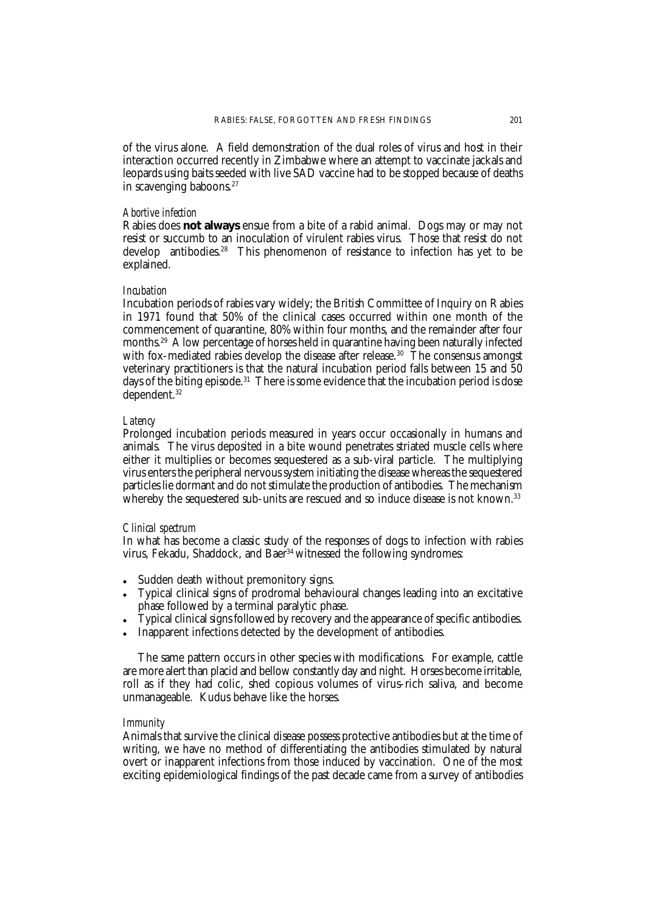of the virus alone. A field demonstration of the dual roles of virus and host in their interaction occurred recently in Zimbabwe where an attempt to vaccinate jackals and leopards using baits seeded with live SAD vaccine had to be stopped because of deaths in scavenging baboons.<sup>27</sup>

## *Abortive infection*

Rabies does **not always** ensue from a bite of a rabid animal. Dogs may or may not resist or succumb to an inoculation of virulent rabies virus. Those that resist do not develop antibodies.28 This phenomenon of resistance to infection has yet to be explained.

#### *Incubation*

Incubation periods of rabies vary widely; the British Committee of Inquiry on Rabies in 1971 found that 50% of the clinical cases occurred within one month of the commencement of quarantine, 80% within four months, and the remainder after four months.29 A low percentage of horses held in quarantine having been naturally infected with fox-mediated rabies develop the disease after release.<sup>30</sup> The consensus amongst veterinary practitioners is that the natural incubation period falls between 15 and 50 days of the biting episode.<sup>31</sup> There is some evidence that the incubation period is dose dependent.32

## *Latency*

Prolonged incubation periods measured in years occur occasionally in humans and animals. The virus deposited in a bite wound penetrates striated muscle cells where either it multiplies or becomes sequestered as a sub-viral particle. The multiplying virus enters the peripheral nervous system initiating the disease whereas the sequestered particles lie dormant and do not stimulate the production of antibodies. The mechanism whereby the sequestered sub-units are rescued and so induce disease is not known.<sup>33</sup>

## *Clinical spectrum*

In what has become a classic study of the responses of dogs to infection with rabies virus, Fekadu, Shaddock, and Baer<sup>34</sup> witnessed the following syndromes:

- Sudden death without premonitory signs.
- Typical clinical signs of prodromal behavioural changes leading into an excitative phase followed by a terminal paralytic phase.
- Typical clinical signs followed by recovery and the appearance of specific antibodies.
- Inapparent infections detected by the development of antibodies.

The same pattern occurs in other species with modifications. For example, cattle are more alert than placid and bellow constantly day and night. Horses become irritable, roll as if they had colic, shed copious volumes of virus-rich saliva, and become unmanageable. Kudus behave like the horses.

### *Immunity*

Animals that survive the clinical disease possess protective antibodies but at the time of writing, we have no method of differentiating the antibodies stimulated by natural overt or inapparent infections from those induced by vaccination. One of the most exciting epidemiological findings of the past decade came from a survey of antibodies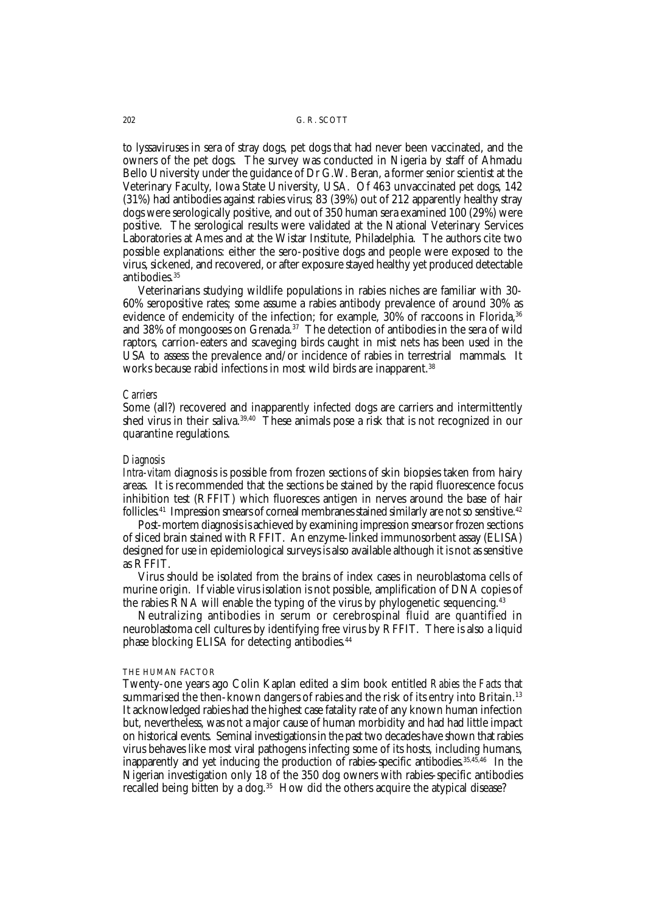to lyssaviruses in sera of stray dogs, pet dogs that had never been vaccinated, and the owners of the pet dogs. The survey was conducted in Nigeria by staff of Ahmadu Bello University under the guidance of Dr G.W. Beran, a former senior scientist at the Veterinary Faculty, Iowa State University, USA. Of 463 unvaccinated pet dogs, 142 (31%) had antibodies against rabies virus; 83 (39%) out of 212 apparently healthy stray dogs were serologically positive, and out of 350 human sera examined 100 (29%) were positive. The serological results were validated at the National Veterinary Services Laboratories at Ames and at the Wistar Institute, Philadelphia. The authors cite two possible explanations: either the sero-positive dogs and people were exposed to the virus, sickened, and recovered, or after exposure stayed healthy yet produced detectable antibodies.<sup>35</sup>

Veterinarians studying wildlife populations in rabies niches are familiar with 30- 60% seropositive rates; some assume a rabies antibody prevalence of around 30% as evidence of endemicity of the infection; for example, 30% of raccoons in Florida,<sup>36</sup> and 38% of mongooses on Grenada.<sup>37</sup> The detection of antibodies in the sera of wild raptors, carrion-eaters and scaveging birds caught in mist nets has been used in the USA to assess the prevalence and/or incidence of rabies in terrestrial mammals. It works because rabid infections in most wild birds are inapparent.<sup>38</sup>

#### *Carriers*

Some (all?) recovered and inapparently infected dogs are carriers and intermittently shed virus in their saliva.<sup>39,40</sup> These animals pose a risk that is not recognized in our quarantine regulations.

### *Diagnosis*

*Intra-vitam* diagnosis is possible from frozen sections of skin biopsies taken from hairy areas. It is recommended that the sections be stained by the rapid fluorescence focus inhibition test (RFFIT) which fluoresces antigen in nerves around the base of hair follicles.<sup>41</sup> Impression smears of corneal membranes stained similarly are not so sensitive.<sup>42</sup>

Post-mortem diagnosis is achieved by examining impression smears or frozen sections of sliced brain stained with RFFIT. An enzyme-linked immunosorbent assay (ELISA) designed for use in epidemiological surveys is also available although it is not as sensitive as RFFIT.

Virus should be isolated from the brains of index cases in neuroblastoma cells of murine origin. If viable virus isolation is not possible, amplification of DNA copies of the rabies RNA will enable the typing of the virus by phylogenetic sequencing.<sup>43</sup>

Neutralizing antibodies in serum or cerebrospinal fluid are quantified in neuroblastoma cell cultures by identifying free virus by RFFIT. There is also a liquid phase blocking ELISA for detecting antibodies.<sup>44</sup>

#### THE HUMAN FACTOR

Twenty-one years ago Colin Kaplan edited a slim book entitled *Rabies the Facts* that summarised the then-known dangers of rabies and the risk of its entry into Britain.<sup>13</sup> It acknowledged rabies had the highest case fatality rate of any known human infection but, nevertheless, was not a major cause of human morbidity and had had little impact on historical events. Seminal investigations in the past two decades have shown that rabies virus behaves like most viral pathogens infecting some of its hosts, including humans, inapparently and yet inducing the production of rabies-specific antibodies.35,45,46 In the Nigerian investigation only 18 of the 350 dog owners with rabies-specific antibodies recalled being bitten by a dog.<sup>35</sup> How did the others acquire the atypical disease?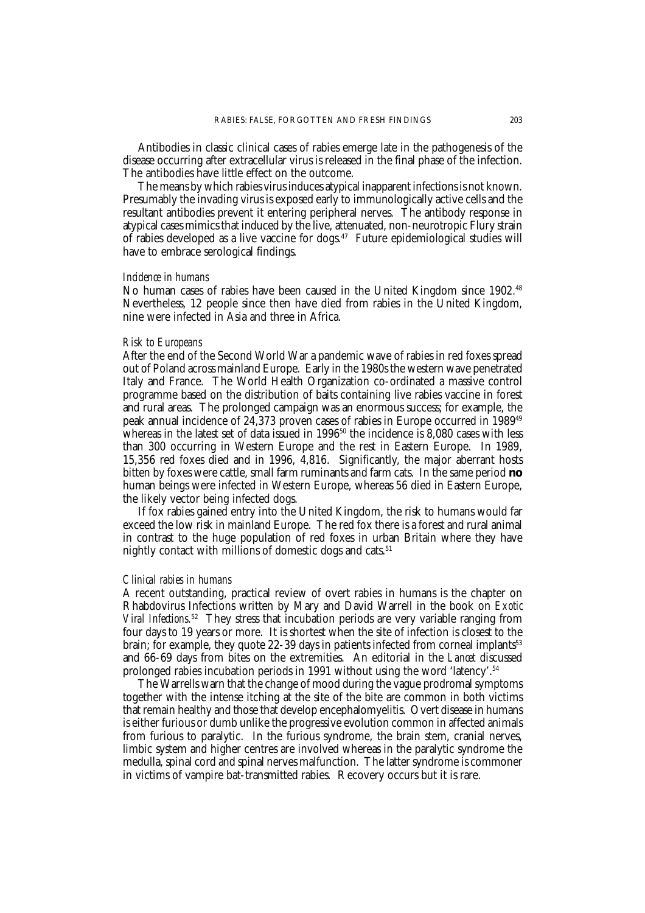Antibodies in classic clinical cases of rabies emerge late in the pathogenesis of the disease occurring after extracellular virus is released in the final phase of the infection. The antibodies have little effect on the outcome.

The means by which rabies virus induces atypical inapparent infections is not known. Presumably the invading virus is exposed early to immunologically active cells and the resultant antibodies prevent it entering peripheral nerves. The antibody response in atypical cases mimics that induced by the live, attenuated, non-neurotropic Flury strain of rabies developed as a live vaccine for dogs.<sup>47</sup> Future epidemiological studies will have to embrace serological findings.

## *Incidence in humans*

No human cases of rabies have been caused in the United Kingdom since 1902.48 Nevertheless, 12 people since then have died from rabies in the United Kingdom, nine were infected in Asia and three in Africa.

### *Risk to Europeans*

After the end of the Second World War a pandemic wave of rabies in red foxes spread out of Poland across mainland Europe. Early in the 1980s the western wave penetrated Italy and France. The World Health Organization co-ordinated a massive control programme based on the distribution of baits containing live rabies vaccine in forest and rural areas. The prolonged campaign was an enormous success; for example, the peak annual incidence of 24,373 proven cases of rabies in Europe occurred in 198949 whereas in the latest set of data issued in 1996<sup>50</sup> the incidence is 8,080 cases with less than 300 occurring in Western Europe and the rest in Eastern Europe. In 1989, 15,356 red foxes died and in 1996, 4,816. Significantly, the major aberrant hosts bitten by foxes were cattle, small farm ruminants and farm cats. In the same period **no** human beings were infected in Western Europe, whereas 56 died in Eastern Europe, the likely vector being infected dogs.

If fox rabies gained entry into the United Kingdom, the risk to humans would far exceed the low risk in mainland Europe. The red fox there is a forest and rural animal in contrast to the huge population of red foxes in urban Britain where they have nightly contact with millions of domestic dogs and cats.<sup>51</sup>

#### *Clinical rabies in humans*

A recent outstanding, practical review of overt rabies in humans is the chapter on Rhabdovirus Infections written by Mary and David Warrell in the book on *Exotic Viral Infections*. 52 They stress that incubation periods are very variable ranging from four days to 19 years or more. It is shortest when the site of infection is closest to the brain; for example, they quote  $22-39$  days in patients infected from corneal implants<sup>53</sup> and 66-69 days from bites on the extremities. An editorial in the *Lancet* discussed prolonged rabies incubation periods in 1991 without using the word 'latency'.54

The Warrells warn that the change of mood during the vague prodromal symptoms together with the intense itching at the site of the bite are common in both victims that remain healthy and those that develop encephalomyelitis. Overt disease in humans is either furious or dumb unlike the progressive evolution common in affected animals from furious to paralytic. In the furious syndrome, the brain stem, cranial nerves, limbic system and higher centres are involved whereas in the paralytic syndrome the medulla, spinal cord and spinal nerves malfunction. The latter syndrome is commoner in victims of vampire bat-transmitted rabies. Recovery occurs but it is rare.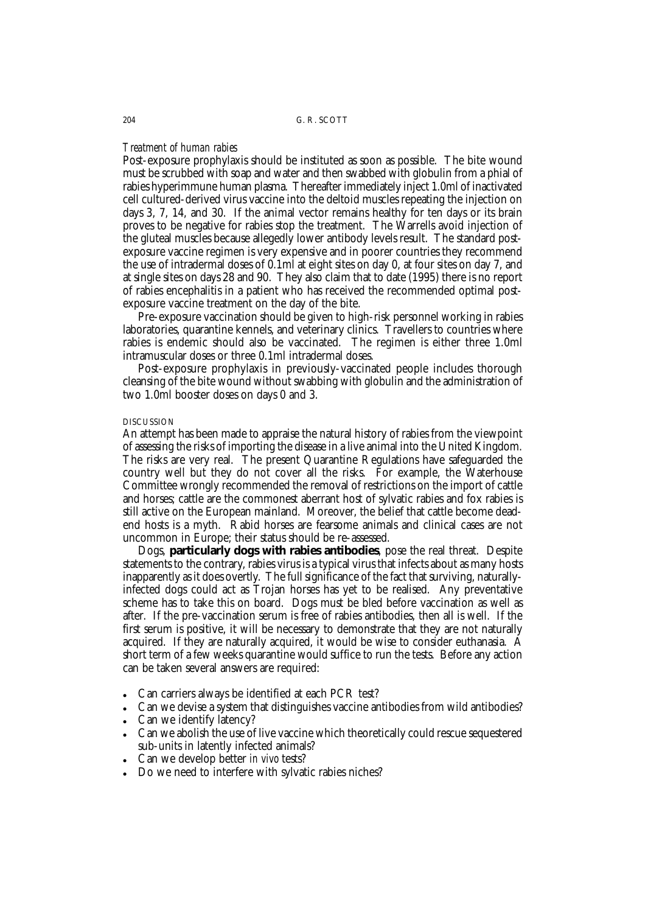## *Treatment of human rabies*

Post-exposure prophylaxis should be instituted as soon as possible. The bite wound must be scrubbed with soap and water and then swabbed with globulin from a phial of rabies hyperimmune human plasma. Thereafter immediately inject 1.0ml of inactivated cell cultured-derived virus vaccine into the deltoid muscles repeating the injection on days 3, 7, 14, and 30. If the animal vector remains healthy for ten days or its brain proves to be negative for rabies stop the treatment. The Warrells avoid injection of the gluteal muscles because allegedly lower antibody levels result. The standard postexposure vaccine regimen is very expensive and in poorer countries they recommend the use of intradermal doses of 0.1ml at eight sites on day 0, at four sites on day 7, and at single sites on days 28 and 90. They also claim that to date (1995) there is no report of rabies encephalitis in a patient who has received the recommended optimal postexposure vaccine treatment on the day of the bite.

Pre-exposure vaccination should be given to high-risk personnel working in rabies laboratories, quarantine kennels, and veterinary clinics. Travellers to countries where rabies is endemic should also be vaccinated. The regimen is either three 1.0ml intramuscular doses or three 0.1ml intradermal doses.

Post-exposure prophylaxis in previously-vaccinated people includes thorough cleansing of the bite wound without swabbing with globulin and the administration of two 1.0ml booster doses on days 0 and 3.

### DISCUSSION

An attempt has been made to appraise the natural history of rabies from the viewpoint of assessing the risks of importing the disease in a live animal into the United Kingdom. The risks are very real. The present Quarantine Regulations have safeguarded the country well but they do not cover all the risks. For example, the Waterhouse Committee wrongly recommended the removal of restrictions on the import of cattle and horses; cattle are the commonest aberrant host of sylvatic rabies and fox rabies is still active on the European mainland. Moreover, the belief that cattle become deadend hosts is a myth. Rabid horses are fearsome animals and clinical cases are not uncommon in Europe; their status should be re-assessed.

Dogs, **particularly dogs with rabies antibodies**, pose the real threat. Despite statements to the contrary, rabies virus is a typical virus that infects about as many hosts inapparently as it does overtly. The full significance of the fact that surviving, naturallyinfected dogs could act as Trojan horses has yet to be realised. Any preventative scheme has to take this on board. Dogs must be bled before vaccination as well as after. If the pre-vaccination serum is free of rabies antibodies, then all is well. If the first serum is positive, it will be necessary to demonstrate that they are not naturally acquired. If they are naturally acquired, it would be wise to consider euthanasia. A short term of a few weeks quarantine would suffice to run the tests. Before any action can be taken several answers are required:

- Can carriers always be identified at each PCR test?
- Can we devise a system that distinguishes vaccine antibodies from wild antibodies?
- Can we identify latency?
- Can we abolish the use of live vaccine which theoretically could rescue sequestered sub-units in latently infected animals?
- Can we develop better *in vivo* tests?
- Do we need to interfere with sylvatic rabies niches?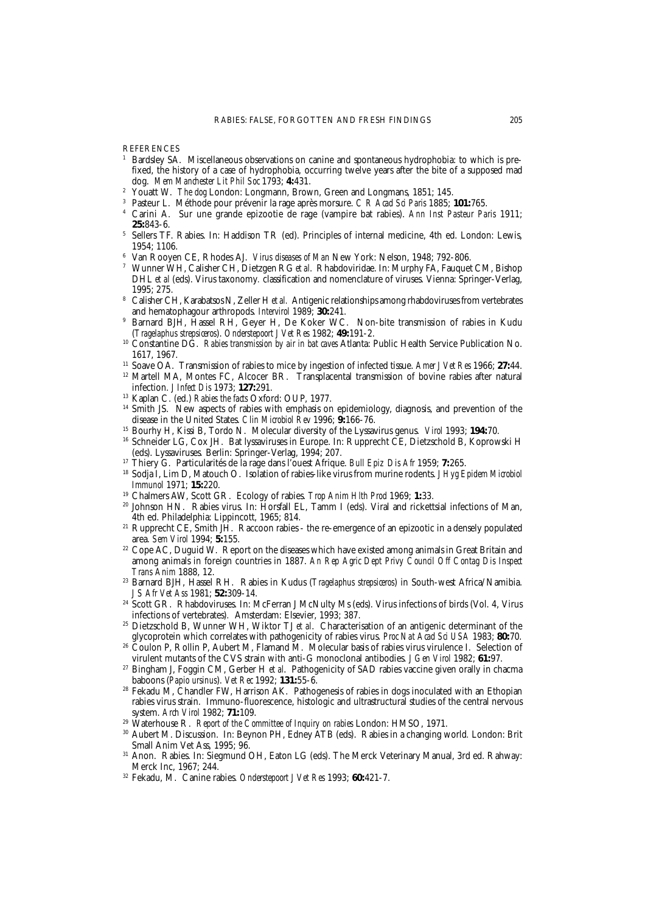**REFERENCES** 

- <sup>1</sup> Bardsley SA. Miscellaneous observations on canine and spontaneous hydrophobia: to which is prefixed, the history of a case of hydrophobia, occurring twelve years after the bite of a supposed mad dog. *Mem Manchester Lit Phil Soc* 1793; **4:**431.
- <sup>2</sup> Youatt W. *The dog* London: Longmann, Brown, Green and Longmans, 1851; 145.
- <sup>3</sup> Pasteur L. Méthode pour prévenir la rage après morsure. *C R Acad Sci Paris* 1885; **101:**765.
- <sup>4</sup> Carini A. Sur une grande epizootie de rage (vampire bat rabies). *Ann Inst Pasteur Paris* 1911; **25:**843-6.
- <sup>5</sup> Sellers TF. Rabies. In: Haddison TR (ed). Principles of internal medicine, 4th ed. London: Lewis, 1954; 1106.
- <sup>6</sup> Van Rooyen CE, Rhodes AJ. *Virus diseases of Man* New York: Nelson, 1948; 792-806.
- <sup>7</sup> Wunner WH, Calisher CH, Dietzgen RG *et al*. Rhabdoviridae. In: Murphy FA, Fauquet CM, Bishop DHL *et al* (eds). Virus taxonomy*.* classification and nomenclature of viruses. Vienna: Springer-Verlag, 1995; 275.
- <sup>8</sup> Calisher CH, Karabatsos N, Zeller H *et al.* Antigenic relationships among rhabdoviruses from vertebrates and hematophagour arthropods. *Intervirol* 1989; **30:**241.
- <sup>9</sup> Barnard BJH, Hassel RH, Geyer H, De Koker WC. Non-bite transmission of rabies in Kudu (*Tragelaphus strepsiceros*). *Onderstepoort J Vet Res* 1982; **49:**191-2.
- <sup>10</sup> Constantine DG. *Rabies transmission by air in bat caves* Atlanta: Public Health Service Publication No. 1617, 1967.
- <sup>11</sup> Soave OA. Transmission of rabies to mice by ingestion of infected tissue. *Amer J Vet Res* 1966; **27:**44.
- <sup>12</sup> Martell MA, Montes FC, Alcocer BR. Transplacental transmission of bovine rabies after natural<sup>12</sup> infection. *J Infect Dis* 1973; **127:**291.
- <sup>13</sup> Kaplan C. (ed.) *Rabies the facts* Oxford: OUP, 1977.
- <sup>14</sup> Smith JS. New aspects of rabies with emphasis on epidemiology, diagnosis, and prevention of the disease in the United States. *Clin Microbiol Rev* 1996; **9:**166-76.
- <sup>15</sup> Bourhy H, Kissi B, Tordo N. Molecular diversity of the Lyssavirus genus. *Virol* 1993; **194:**70.
- <sup>16</sup> Schneider LG, Cox JH. Bat lyssaviruses in Europe. In: Rupprecht CE, Dietzschold B, Koprowski H (eds). Lyssaviruses*.* Berlin: Springer-Verlag, 1994; 207.
- <sup>17</sup> Thiery G. Particularités de la rage dans l'ouest Afrique. *Bull Epiz Dis Afr* 1959; **7:**265.
- <sup>18</sup> Sodja I, Lim D, Matouch O. Isolation of rabies-like virus from murine rodents. *J Hyg Epidem Microbiol Immunol* 1971; **15:**220.
- <sup>19</sup> Chalmers AW, Scott GR. Ecology of rabies. *Trop Anim Hlth Prod* 1969; **1:**33.
- <sup>20</sup> Johnson HN. Rabies virus. In: Horsfall EL, Tamm I (eds). Viral and rickettsial infections of Man, 4th ed. Philadelphia: Lippincott, 1965; 814.
- <sup>21</sup> Rupprecht CE, Smith JH. Raccoon rabies the re-emergence of an epizootic in a densely populated area. *Sem Virol* 1994; **5:**155.
- <sup>22</sup> Cope AC, Duguid W. Report on the diseases which have existed among animals in Great Britain and among animals in foreign countries in 1887. *An Rep Agric Dept Privy Council Off Contag Dis Inspect Trans Anim* 1888, 12.
- <sup>23</sup> Barnard BJH, Hassel RH. Rabies in Kudus (*Tragelaphus strepsiceros*) in South-west Africa/Namibia. *J S Afr Vet Ass* 1981; **52:**309-14.
- <sup>24</sup> Scott GR. Rhabdoviruses. In: McFerran J McNulty Ms (eds). Virus infections of birds (Vol. 4, Virus infections of vertebrates)*.* Amsterdam: Elsevier, 1993; 387.
- <sup>25</sup> Dietzschold B, Wunner WH, Wiktor TJ *et al*. Characterisation of an antigenic determinant of the glycoprotein which correlates with pathogenicity of rabies virus. *Proc Nat Acad Sci USA* 1983; **80:**70.
- <sup>26</sup> Coulon P, Rollin P, Aubert M, Flamand M. Molecular basis of rabies virus virulence I. Selection of virulent mutants of the CVS strain with anti-G monoclonal antibodies. *J Gen Virol* 1982; **61:**97.
- <sup>27</sup> Bingham J, Foggin CM, Gerber H *et al*. Pathogenicity of SAD rabies vaccine given orally in chacma baboons (*Papio ursinus*). *Vet Rec* 1992; **131:**55-6.
- <sup>28</sup> Fekadu M, Chandler FW, Harrison AK. Pathogenesis of rabies in dogs inoculated with an Ethopian rabies virus strain. Immuno-fluorescence, histologic and ultrastructural studies of the central nervous system. *Arch Virol* 1982; **71:**109.
- <sup>29</sup> Waterhouse R. *Report of the Committee of Inquiry on rabies* London: HMSO, 1971.
- <sup>30</sup> Aubert M. Discussion. In: Beynon PH, Edney ATB (eds). Rabies in a changing world*.* London: Brit Small Anim Vet Ass, 1995; 96.
- <sup>31</sup> Anon. Rabies. In: Siegmund OH, Eaton LG (eds). The Merck Veterinary Manual, 3rd ed. Rahway: Merck Inc, 1967; 244.
- <sup>32</sup> Fekadu, M. Canine rabies. *Onderstepoort J Vet Res* 1993; **60:**421-7.